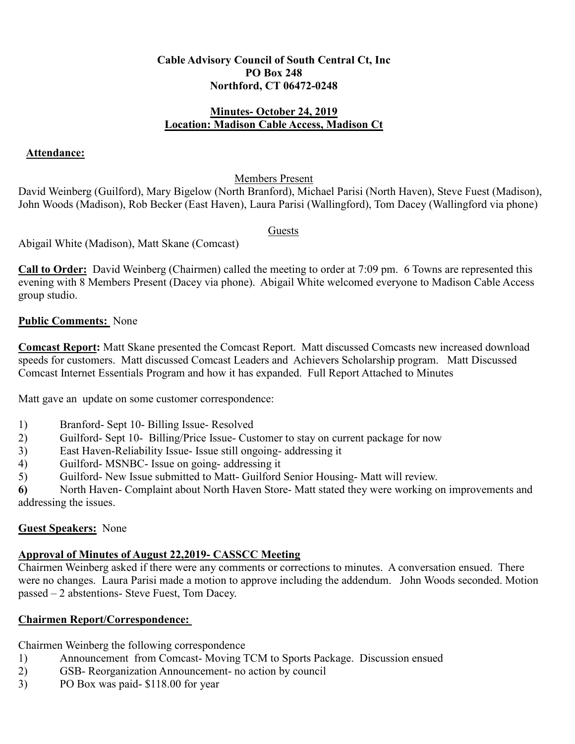#### **Cable Advisory Council of South Central Ct, Inc PO Box 248 Northford, CT 06472-0248**

#### **Minutes- October 24, 2019 Location: Madison Cable Access, Madison Ct**

### **Attendance:**

### Members Present

David Weinberg (Guilford), Mary Bigelow (North Branford), Michael Parisi (North Haven), Steve Fuest (Madison), John Woods (Madison), Rob Becker (East Haven), Laura Parisi (Wallingford), Tom Dacey (Wallingford via phone)

### Guests

Abigail White (Madison), Matt Skane (Comcast)

**Call to Order:** David Weinberg (Chairmen) called the meeting to order at 7:09 pm. 6 Towns are represented this evening with 8 Members Present (Dacey via phone). Abigail White welcomed everyone to Madison Cable Access group studio.

### **Public Comments:** None

**Comcast Report:** Matt Skane presented the Comcast Report. Matt discussed Comcasts new increased download speeds for customers. Matt discussed Comcast Leaders and Achievers Scholarship program. Matt Discussed Comcast Internet Essentials Program and how it has expanded. Full Report Attached to Minutes

Matt gave an update on some customer correspondence:

- 1) Branford- Sept 10- Billing Issue- Resolved
- 2) Guilford- Sept 10- Billing/Price Issue- Customer to stay on current package for now
- 3) East Haven-Reliability Issue- Issue still ongoing- addressing it
- 4) Guilford- MSNBC- Issue on going- addressing it
- 5) Guilford- New Issue submitted to Matt- Guilford Senior Housing- Matt will review.

**6)** North Haven- Complaint about North Haven Store- Matt stated they were working on improvements and addressing the issues.

### **Guest Speakers:** None

# **Approval of Minutes of August 22,2019- CASSCC Meeting**

Chairmen Weinberg asked if there were any comments or corrections to minutes. A conversation ensued. There were no changes. Laura Parisi made a motion to approve including the addendum. John Woods seconded. Motion passed – 2 abstentions- Steve Fuest, Tom Dacey.

# **Chairmen Report/Correspondence:**

Chairmen Weinberg the following correspondence

- 1) Announcement from Comcast- Moving TCM to Sports Package. Discussion ensued
- 2) GSB- Reorganization Announcement- no action by council
- 3) PO Box was paid- \$118.00 for year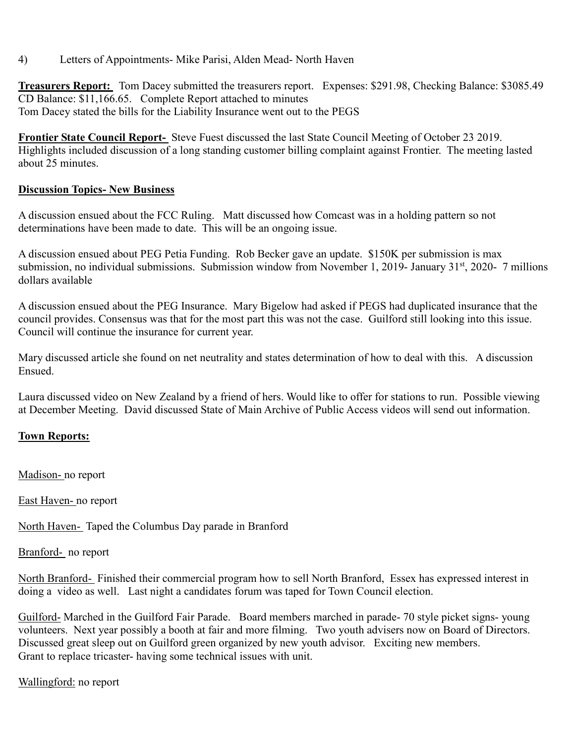### 4) Letters of Appointments- Mike Parisi, Alden Mead- North Haven

**Treasurers Report:** Tom Dacey submitted the treasurers report. Expenses: \$291.98, Checking Balance: \$3085.49 CD Balance: \$11,166.65. Complete Report attached to minutes Tom Dacey stated the bills for the Liability Insurance went out to the PEGS

**Frontier State Council Report-** Steve Fuest discussed the last State Council Meeting of October 23 2019. Highlights included discussion of a long standing customer billing complaint against Frontier. The meeting lasted about 25 minutes.

### **Discussion Topics- New Business**

A discussion ensued about the FCC Ruling. Matt discussed how Comcast was in a holding pattern so not determinations have been made to date. This will be an ongoing issue.

A discussion ensued about PEG Petia Funding. Rob Becker gave an update. \$150K per submission is max submission, no individual submissions. Submission window from November 1, 2019- January 31<sup>st</sup>, 2020- 7 millions dollars available

A discussion ensued about the PEG Insurance. Mary Bigelow had asked if PEGS had duplicated insurance that the council provides. Consensus was that for the most part this was not the case. Guilford still looking into this issue. Council will continue the insurance for current year.

Mary discussed article she found on net neutrality and states determination of how to deal with this. A discussion Ensued.

Laura discussed video on New Zealand by a friend of hers. Would like to offer for stations to run. Possible viewing at December Meeting. David discussed State of Main Archive of Public Access videos will send out information.

### **Town Reports:**

Madison- no report

East Haven- no report

North Haven- Taped the Columbus Day parade in Branford

Branford- no report

North Branford- Finished their commercial program how to sell North Branford, Essex has expressed interest in doing a video as well. Last night a candidates forum was taped for Town Council election.

Guilford- Marched in the Guilford Fair Parade. Board members marched in parade- 70 style picket signs- young volunteers. Next year possibly a booth at fair and more filming. Two youth advisers now on Board of Directors. Discussed great sleep out on Guilford green organized by new youth advisor. Exciting new members. Grant to replace tricaster- having some technical issues with unit.

Wallingford: no report